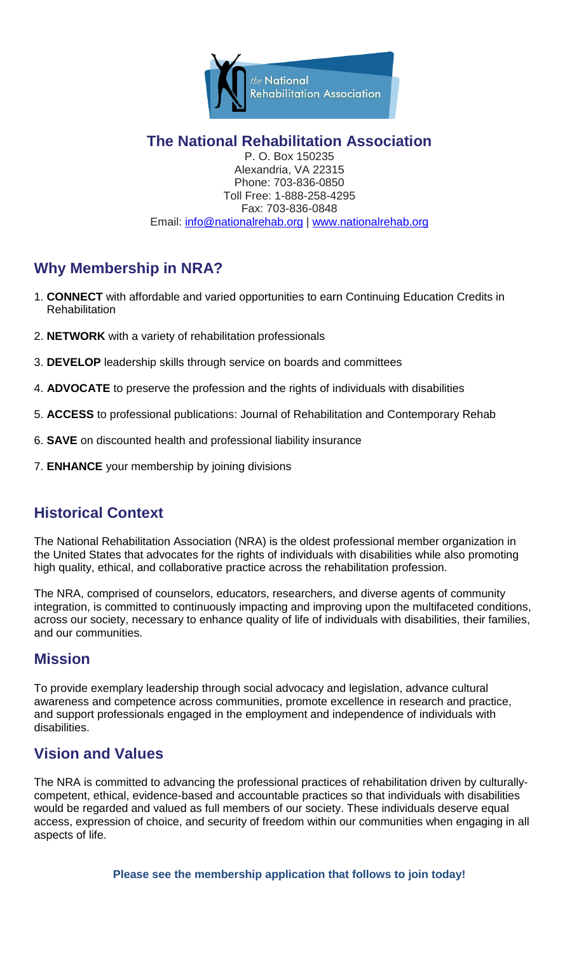

**The National Rehabilitation Association**

P. O. Box 150235 Alexandria, VA 22315 Phone: 703-836-0850 Toll Free: 1-888-258-4295 Fax: 703-836-0848 Email: [info@nationalrehab.org](mailto:info@nationalrehab.org) | [www.nationalrehab.org](http://www.nationalrehab.org/)

# **Why Membership in NRA?**

- 1. **CONNECT** with affordable and varied opportunities to earn Continuing Education Credits in **Rehabilitation**
- 2. **NETWORK** with a variety of rehabilitation professionals
- 3. **DEVELOP** leadership skills through service on boards and committees
- 4. **ADVOCATE** to preserve the profession and the rights of individuals with disabilities
- 5. **ACCESS** to professional publications: Journal of Rehabilitation and Contemporary Rehab
- 6. **SAVE** on discounted health and professional liability insurance
- 7. **ENHANCE** your membership by joining divisions

# **Historical Context**

The National Rehabilitation Association (NRA) is the oldest professional member organization in the United States that advocates for the rights of individuals with disabilities while also promoting high quality, ethical, and collaborative practice across the rehabilitation profession.

The NRA, comprised of counselors, educators, researchers, and diverse agents of community integration, is committed to continuously impacting and improving upon the multifaceted conditions, across our society, necessary to enhance quality of life of individuals with disabilities, their families, and our communities.

### **Mission**

To provide exemplary leadership through social advocacy and legislation, advance cultural awareness and competence across communities, promote excellence in research and practice, and support professionals engaged in the employment and independence of individuals with disabilities.

## **Vision and Values**

The NRA is committed to advancing the professional practices of rehabilitation driven by culturallycompetent, ethical, evidence-based and accountable practices so that individuals with disabilities would be regarded and valued as full members of our society. These individuals deserve equal access, expression of choice, and security of freedom within our communities when engaging in all aspects of life.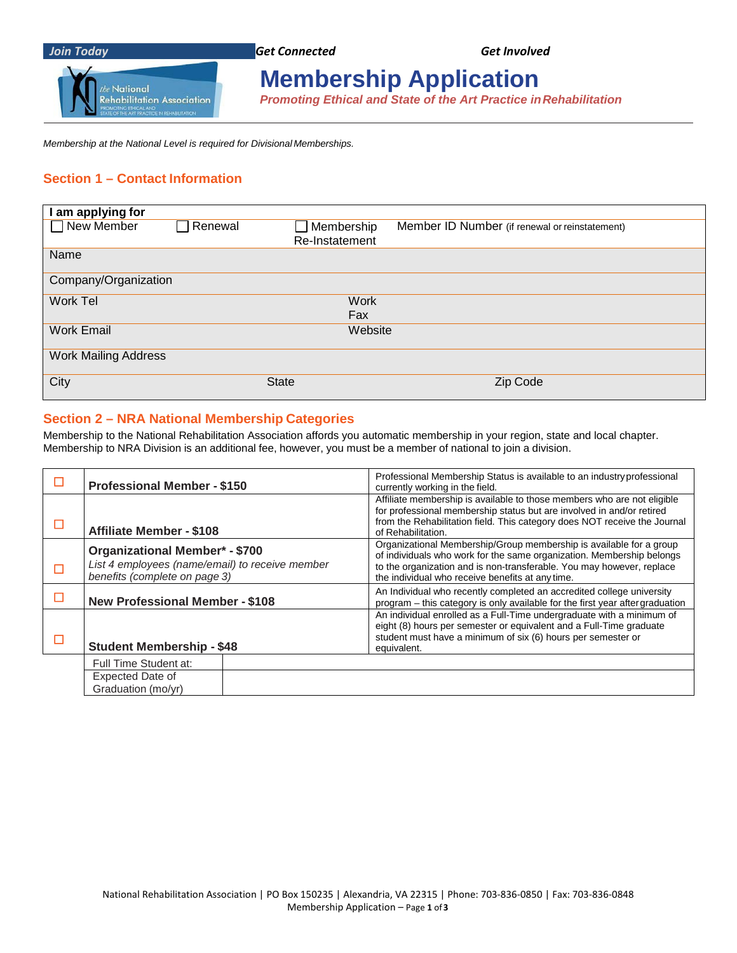

# **Membership Application**

*Promoting Ethical and State of the Art Practice inRehabilitation*

*Membership at the National Level is required for Divisional Memberships.*

#### **Section 1 – Contact Information**

| am applying for             |         |                   |                                                |
|-----------------------------|---------|-------------------|------------------------------------------------|
| New Member                  | Renewal | $\Box$ Membership | Member ID Number (if renewal or reinstatement) |
|                             |         | Re-Instatement    |                                                |
| Name                        |         |                   |                                                |
| Company/Organization        |         |                   |                                                |
| Work Tel                    |         | <b>Work</b>       |                                                |
|                             |         | Fax               |                                                |
| <b>Work Email</b>           |         | Website           |                                                |
| <b>Work Mailing Address</b> |         |                   |                                                |
| City                        |         | <b>State</b>      | Zip Code                                       |

#### **Section 2 – NRA National Membership Categories**

Membership to the National Rehabilitation Association affords you automatic membership in your region, state and local chapter. Membership to NRA Division is an additional fee, however, you must be a member of national to join a division.

| <b>Professional Member - \$150</b>                                                                                        | Professional Membership Status is available to an industry professional<br>currently working in the field.                                                                                                                                                                |  |  |
|---------------------------------------------------------------------------------------------------------------------------|---------------------------------------------------------------------------------------------------------------------------------------------------------------------------------------------------------------------------------------------------------------------------|--|--|
| <b>Affiliate Member - \$108</b>                                                                                           | Affiliate membership is available to those members who are not eligible<br>for professional membership status but are involved in and/or retired<br>from the Rehabilitation field. This category does NOT receive the Journal<br>of Rehabilitation.                       |  |  |
| <b>Organizational Member* - \$700</b><br>List 4 employees (name/email) to receive member<br>benefits (complete on page 3) | Organizational Membership/Group membership is available for a group<br>of individuals who work for the same organization. Membership belongs<br>to the organization and is non-transferable. You may however, replace<br>the individual who receive benefits at any time. |  |  |
| <b>New Professional Member - \$108</b>                                                                                    | An Individual who recently completed an accredited college university<br>program - this category is only available for the first year after graduation                                                                                                                    |  |  |
| <b>Student Membership - \$48</b>                                                                                          | An individual enrolled as a Full-Time undergraduate with a minimum of<br>eight (8) hours per semester or equivalent and a Full-Time graduate<br>student must have a minimum of six (6) hours per semester or<br>equivalent.                                               |  |  |
| Full Time Student at:                                                                                                     |                                                                                                                                                                                                                                                                           |  |  |
| Expected Date of<br>Graduation (mo/yr)                                                                                    |                                                                                                                                                                                                                                                                           |  |  |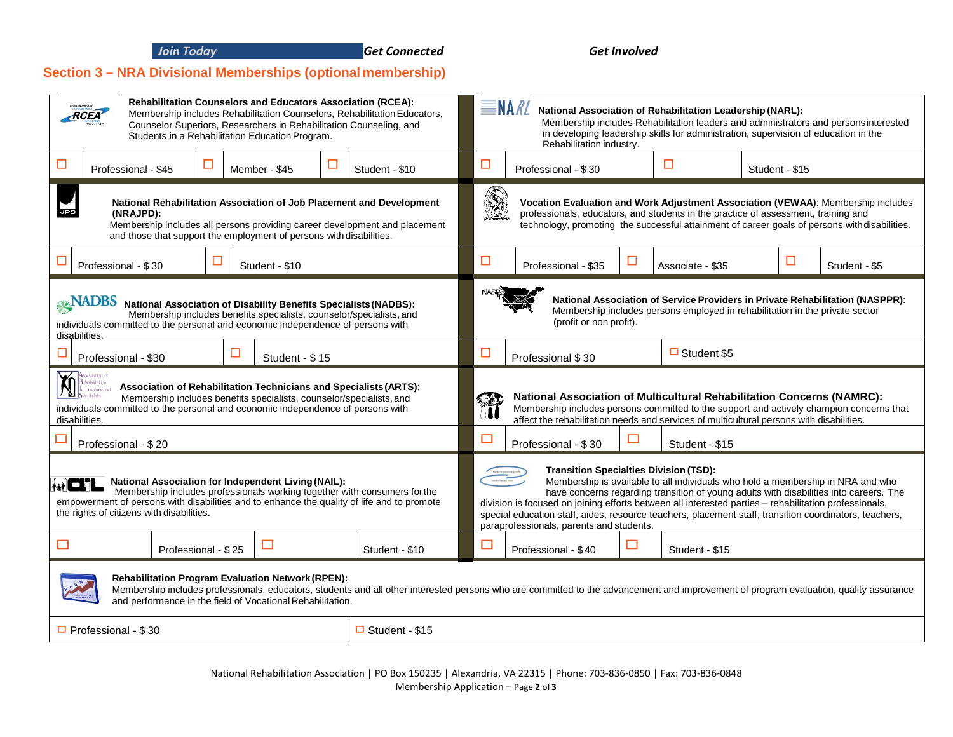*Join Today Get Connected Get Involved*

#### **Section 3 – NRA Divisional Memberships (optional membership)**

| <b>Rehabilitation Counselors and Educators Association (RCEA):</b><br>Membership includes Rehabilitation Counselors, Rehabilitation Educators,<br>RCEA<br>Counselor Superiors, Researchers in Rehabilitation Counseling, and<br>Students in a Rehabilitation Education Program.                                                       |                                                                |                                                                   | $\equiv$ NA <i>RL</i><br>National Association of Rehabilitation Leadership (NARL):<br>Membership includes Rehabilitation leaders and administrators and persons interested<br>in developing leadership skills for administration, supervision of education in the<br>Rehabilitation industry. |                                                                                                                                                                                                                                                                                                                                                                                                                                                                                           |        |                  |   |                                                                                                                                                                                   |
|---------------------------------------------------------------------------------------------------------------------------------------------------------------------------------------------------------------------------------------------------------------------------------------------------------------------------------------|----------------------------------------------------------------|-------------------------------------------------------------------|-----------------------------------------------------------------------------------------------------------------------------------------------------------------------------------------------------------------------------------------------------------------------------------------------|-------------------------------------------------------------------------------------------------------------------------------------------------------------------------------------------------------------------------------------------------------------------------------------------------------------------------------------------------------------------------------------------------------------------------------------------------------------------------------------------|--------|------------------|---|-----------------------------------------------------------------------------------------------------------------------------------------------------------------------------------|
| ப<br>Member - \$45<br>Professional - \$45                                                                                                                                                                                                                                                                                             | ⊔                                                              | □<br>ப<br>Student - \$10<br>Professional - \$30<br>Student - \$15 |                                                                                                                                                                                                                                                                                               |                                                                                                                                                                                                                                                                                                                                                                                                                                                                                           |        |                  |   |                                                                                                                                                                                   |
| National Rehabilitation Association of Job Placement and Development<br>(NRAJPD):<br>Membership includes all persons providing career development and placement<br>and those that support the employment of persons with disabilities.                                                                                                |                                                                |                                                                   | 9                                                                                                                                                                                                                                                                                             | professionals, educators, and students in the practice of assessment, training and                                                                                                                                                                                                                                                                                                                                                                                                        |        |                  |   | Vocation Evaluation and Work Adjustment Association (VEWAA): Membership includes<br>technology, promoting the successful attainment of career goals of persons with disabilities. |
| Professional - \$30                                                                                                                                                                                                                                                                                                                   | Student - \$10                                                 |                                                                   |                                                                                                                                                                                                                                                                                               | Professional - \$35                                                                                                                                                                                                                                                                                                                                                                                                                                                                       | $\Box$ | Associate - \$35 | □ | Student - \$5                                                                                                                                                                     |
| <b>ANADBS</b> National Association of Disability Benefits Specialists (NADBS):<br>Membership includes benefits specialists, counselor/specialists, and<br>individuals committed to the personal and economic independence of persons with<br>disabilities.                                                                            |                                                                |                                                                   |                                                                                                                                                                                                                                                                                               | National Association of Service Providers in Private Rehabilitation (NASPPR):<br>Membership includes persons employed in rehabilitation in the private sector<br>(profit or non profit).                                                                                                                                                                                                                                                                                                  |        |                  |   |                                                                                                                                                                                   |
| □<br>Professional - \$30                                                                                                                                                                                                                                                                                                              | $\Box$ Student \$5<br>□<br>Student - \$15<br>Professional \$30 |                                                                   |                                                                                                                                                                                                                                                                                               |                                                                                                                                                                                                                                                                                                                                                                                                                                                                                           |        |                  |   |                                                                                                                                                                                   |
| seciation of<br>$\breve{\mathbb{N}}$<br><i>d</i> abilitation<br><b>Association of Rehabilitation Technicians and Specialists (ARTS):</b><br>finicians and<br>Membership includes benefits specialists, counselor/specialists, and<br>individuals committed to the personal and economic independence of persons with<br>disabilities. |                                                                |                                                                   | <b>National Association of Multicultural Rehabilitation Concerns (NAMRC):</b><br>Membership includes persons committed to the support and actively champion concerns that<br>affect the rehabilitation needs and services of multicultural persons with disabilities.                         |                                                                                                                                                                                                                                                                                                                                                                                                                                                                                           |        |                  |   |                                                                                                                                                                                   |
| Professional - \$20                                                                                                                                                                                                                                                                                                                   |                                                                |                                                                   | $\Box$                                                                                                                                                                                                                                                                                        | Professional - \$30                                                                                                                                                                                                                                                                                                                                                                                                                                                                       | □      | Student - \$15   |   |                                                                                                                                                                                   |
| National Association for Independent Living (NAIL):<br>$\omega$ di<br>Membership includes professionals working together with consumers for the<br>empowerment of persons with disabilities and to enhance the quality of life and to promote<br>the rights of citizens with disabilities.                                            |                                                                |                                                                   |                                                                                                                                                                                                                                                                                               | <b>Transition Specialties Division (TSD):</b><br>Membership is available to all individuals who hold a membership in NRA and who<br>have concerns regarding transition of young adults with disabilities into careers. The<br>division is focused on joining efforts between all interested parties - rehabilitation professionals,<br>special education staff, aides, resource teachers, placement staff, transition coordinators, teachers,<br>paraprofessionals, parents and students. |        |                  |   |                                                                                                                                                                                   |
| $\blacksquare$<br>$\Box$<br>Professional - \$25                                                                                                                                                                                                                                                                                       |                                                                | Student - \$10                                                    | $\Box$                                                                                                                                                                                                                                                                                        | Professional - \$40                                                                                                                                                                                                                                                                                                                                                                                                                                                                       | ப      | Student - \$15   |   |                                                                                                                                                                                   |
| <b>Rehabilitation Program Evaluation Network (RPEN):</b><br>Membership includes professionals, educators, students and all other interested persons who are committed to the advancement and improvement of program evaluation, quality assurance<br>and performance in the field of Vocational Rehabilitation.                       |                                                                |                                                                   |                                                                                                                                                                                                                                                                                               |                                                                                                                                                                                                                                                                                                                                                                                                                                                                                           |        |                  |   |                                                                                                                                                                                   |
| $\Box$ Student - \$15<br>$\Box$ Professional - \$30                                                                                                                                                                                                                                                                                   |                                                                |                                                                   |                                                                                                                                                                                                                                                                                               |                                                                                                                                                                                                                                                                                                                                                                                                                                                                                           |        |                  |   |                                                                                                                                                                                   |